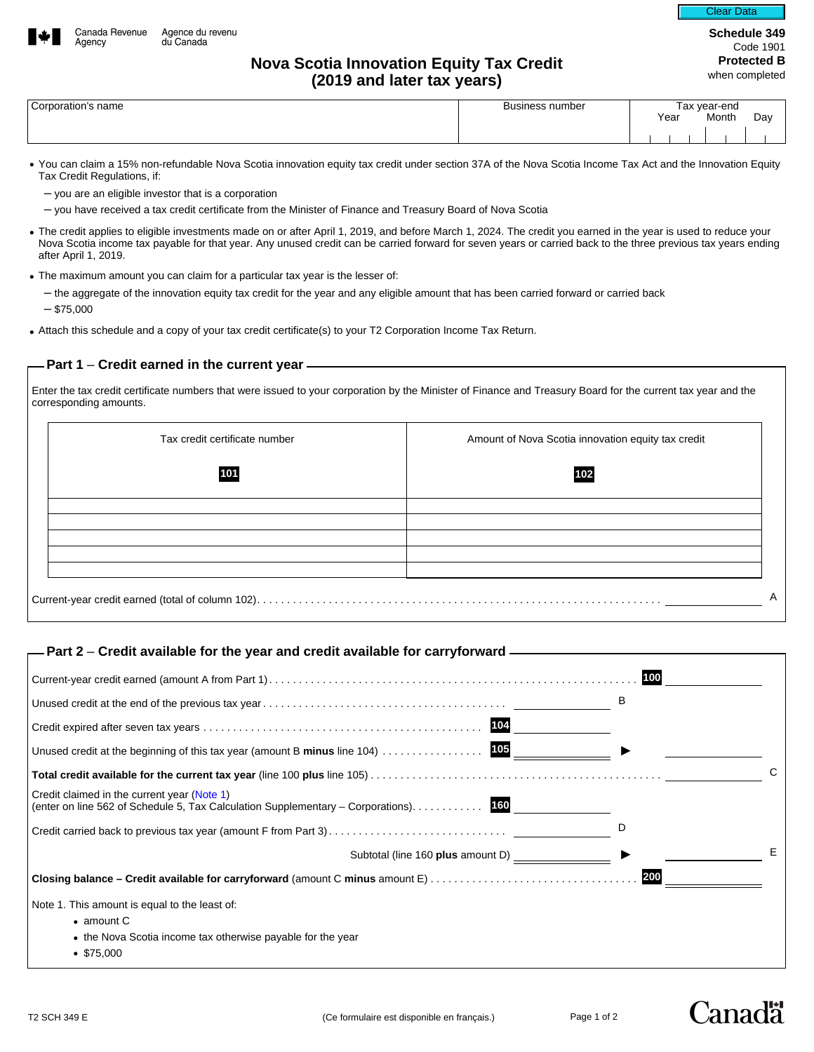

Clear Data

# **Nova Scotia Innovation Equity Tax Credit (2019 and later tax years)**

| Corporation's name |  |
|--------------------|--|
|                    |  |

Agency

| Corporation's name | <b>Business number</b> | ⊺ax vear-end |  |       |               |  |
|--------------------|------------------------|--------------|--|-------|---------------|--|
|                    |                        | Year<br>.    |  | Month | Day<br>$\sim$ |  |
|                    |                        |              |  |       |               |  |

- You can claim a 15% non-refundable Nova Scotia innovation equity tax credit under section 37A of the Nova Scotia Income Tax Act and the Innovation Equity Tax Credit Regulations, if:
	- you are an eligible investor that is a corporation
	- you have received a tax credit certificate from the Minister of Finance and Treasury Board of Nova Scotia
- The credit applies to eligible investments made on or after April 1, 2019, and before March 1, 2024. The credit you earned in the year is used to reduce your Nova Scotia income tax payable for that year. Any unused credit can be carried forward for seven years or carried back to the three previous tax years ending after April 1, 2019.
- The maximum amount you can claim for a particular tax year is the lesser of:
	- the aggregate of the innovation equity tax credit for the year and any eligible amount that has been carried forward or carried back  $-$  \$75,000
- Attach this schedule and a copy of your tax credit certificate(s) to your T2 Corporation Income Tax Return.

### **Part 1** – **Credit earned in the current year**

Enter the tax credit certificate numbers that were issued to your corporation by the Minister of Finance and Treasury Board for the current tax year and the corresponding amounts.

| Tax credit certificate number | Amount of Nova Scotia innovation equity tax credit |
|-------------------------------|----------------------------------------------------|
| 101                           | 102                                                |
|                               |                                                    |
|                               |                                                    |
|                               |                                                    |
|                               |                                                    |

## **Part 2** – **Credit available for the year and credit available for carryforward**

|                                                                                                                                     | 100 |
|-------------------------------------------------------------------------------------------------------------------------------------|-----|
|                                                                                                                                     | В   |
| 104                                                                                                                                 |     |
| 105<br>Unused credit at the beginning of this tax year (amount B minus line 104)                                                    |     |
|                                                                                                                                     | C   |
| Credit claimed in the current year (Note 1)<br>(enter on line 562 of Schedule 5, Tax Calculation Supplementary – Corporations). 160 |     |
|                                                                                                                                     |     |
| Subtotal (line 160 plus amount D) ___________                                                                                       | Е   |
|                                                                                                                                     | 200 |
| Note 1. This amount is equal to the least of:                                                                                       |     |
| $\bullet$ amount C                                                                                                                  |     |
| • the Nova Scotia income tax otherwise payable for the year                                                                         |     |
| $\bullet$ \$75,000                                                                                                                  |     |

Canadä